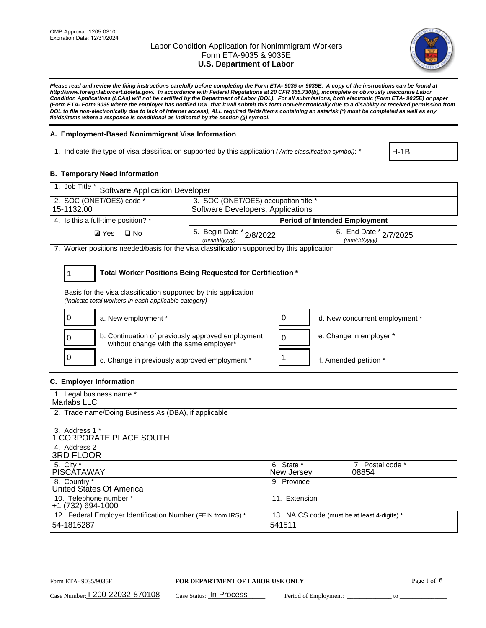

*Please read and review the filing instructions carefully before completing the Form ETA- 9035 or 9035E. A copy of the instructions can be found at http://www.foreignlaborcert.doleta.gov/. In accordance with Federal Regulations at 20 CFR 655.730(b), incomplete or obviously inaccurate Labor Condition Applications (LCAs) will not be certified by the Department of Labor (DOL). For all submissions, both electronic (Form ETA- 9035E) or paper (Form ETA- Form 9035 where the employer has notified DOL that it will submit this form non-electronically due to a disability or received permission from DOL to file non-electronically due to lack of Internet access), ALL required fields/items containing an asterisk (\*) must be completed as well as any fields/items where a response is conditional as indicated by the section (§) symbol.* 

## **A. Employment-Based Nonimmigrant Visa Information**

1. Indicate the type of visa classification supported by this application *(Write classification symbol)*: \*

H-1B

## **B. Temporary Need Information**

| 1. Job Title *<br><b>Software Application Developer</b>                                                                                                                               |                                          |   |                                        |  |  |
|---------------------------------------------------------------------------------------------------------------------------------------------------------------------------------------|------------------------------------------|---|----------------------------------------|--|--|
| 2. SOC (ONET/OES) code *                                                                                                                                                              | 3. SOC (ONET/OES) occupation title *     |   |                                        |  |  |
| 15-1132.00                                                                                                                                                                            | Software Developers, Applications        |   |                                        |  |  |
| 4. Is this a full-time position? *                                                                                                                                                    | <b>Period of Intended Employment</b>     |   |                                        |  |  |
| <b>Ø</b> Yes<br>$\Box$ No                                                                                                                                                             | 5. Begin Date * 2/8/2022<br>(mm/dd/yyyy) |   | 6. End Date * 2/7/2025<br>(mm/dd/yyyy) |  |  |
| 7. Worker positions needed/basis for the visa classification supported by this application                                                                                            |                                          |   |                                        |  |  |
| Total Worker Positions Being Requested for Certification *<br>Basis for the visa classification supported by this application<br>(indicate total workers in each applicable category) |                                          |   |                                        |  |  |
| a. New employment *                                                                                                                                                                   |                                          |   | d. New concurrent employment *         |  |  |
| b. Continuation of previously approved employment<br>0<br>without change with the same employer*                                                                                      |                                          | 0 | e. Change in employer *                |  |  |
| c. Change in previously approved employment *                                                                                                                                         |                                          |   | f. Amended petition *                  |  |  |

## **C. Employer Information**

| 1. Legal business name *                                     |                                              |                  |
|--------------------------------------------------------------|----------------------------------------------|------------------|
| Marlabs LLC                                                  |                                              |                  |
| 2. Trade name/Doing Business As (DBA), if applicable         |                                              |                  |
|                                                              |                                              |                  |
| 3. Address 1 *                                               |                                              |                  |
| 1 CORPORATE PLACE SOUTH                                      |                                              |                  |
| 4. Address 2                                                 |                                              |                  |
| <b>3RD FLOOR</b>                                             |                                              |                  |
| 5. City *                                                    | 6. State *                                   | 7. Postal code * |
| PISCÁTAWAY                                                   | New Jersey                                   | 08854            |
| 8. Country *                                                 | 9. Province                                  |                  |
| United States Of America                                     |                                              |                  |
| 10. Telephone number *                                       | 11. Extension                                |                  |
| $+1(732)694-1000$                                            |                                              |                  |
| 12. Federal Employer Identification Number (FEIN from IRS) * | 13. NAICS code (must be at least 4-digits) * |                  |
| 54-1816287                                                   | 541511                                       |                  |
|                                                              |                                              |                  |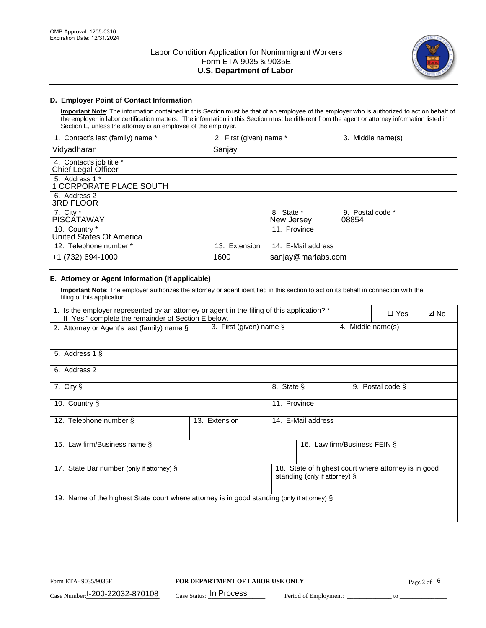

## **D. Employer Point of Contact Information**

**Important Note**: The information contained in this Section must be that of an employee of the employer who is authorized to act on behalf of the employer in labor certification matters. The information in this Section must be different from the agent or attorney information listed in Section E, unless the attorney is an employee of the employer.

| 1. Contact's last (family) name *               | 2. First (given) name * |                          | 3. Middle name(s)         |
|-------------------------------------------------|-------------------------|--------------------------|---------------------------|
| Vidyadharan                                     | Sanjay                  |                          |                           |
| 4. Contact's job title *<br>Chief Legal Officer |                         |                          |                           |
| 5. Address 1 *<br>1 CORPORATE PLACE SOUTH       |                         |                          |                           |
| 6. Address 2<br><b>3RD FLOOR</b>                |                         |                          |                           |
| 7. City *<br><b>PISCÁTAWAY</b>                  |                         | 8. State *<br>New Jersey | 9. Postal code *<br>08854 |
| 10. Country *<br>United States Of America       |                         | 11. Province             |                           |
| 12. Telephone number *                          | 13. Extension           | 14. E-Mail address       |                           |
| +1 (732) 694-1000                               | 1600                    | sanjay@marlabs.com       |                           |

## **E. Attorney or Agent Information (If applicable)**

**Important Note**: The employer authorizes the attorney or agent identified in this section to act on its behalf in connection with the filing of this application.

| 1. Is the employer represented by an attorney or agent in the filing of this application? *<br>If "Yes," complete the remainder of Section E below. |                         |              |                               |                   | $\square$ Yes                                        | <b>ØNo</b> |
|-----------------------------------------------------------------------------------------------------------------------------------------------------|-------------------------|--------------|-------------------------------|-------------------|------------------------------------------------------|------------|
| 2. Attorney or Agent's last (family) name §                                                                                                         | 3. First (given) name § |              |                               | 4. Middle name(s) |                                                      |            |
| 5. Address 1 §                                                                                                                                      |                         |              |                               |                   |                                                      |            |
| 6. Address 2                                                                                                                                        |                         |              |                               |                   |                                                      |            |
| 7. City §                                                                                                                                           |                         | 8. State §   |                               |                   | 9. Postal code §                                     |            |
| 10. Country §                                                                                                                                       |                         | 11. Province |                               |                   |                                                      |            |
| 12. Telephone number §                                                                                                                              | 13. Extension           |              | 14. E-Mail address            |                   |                                                      |            |
| 15. Law firm/Business name §                                                                                                                        |                         |              | 16. Law firm/Business FEIN §  |                   |                                                      |            |
| 17. State Bar number (only if attorney) §                                                                                                           |                         |              | standing (only if attorney) § |                   | 18. State of highest court where attorney is in good |            |
| 19. Name of the highest State court where attorney is in good standing (only if attorney) §                                                         |                         |              |                               |                   |                                                      |            |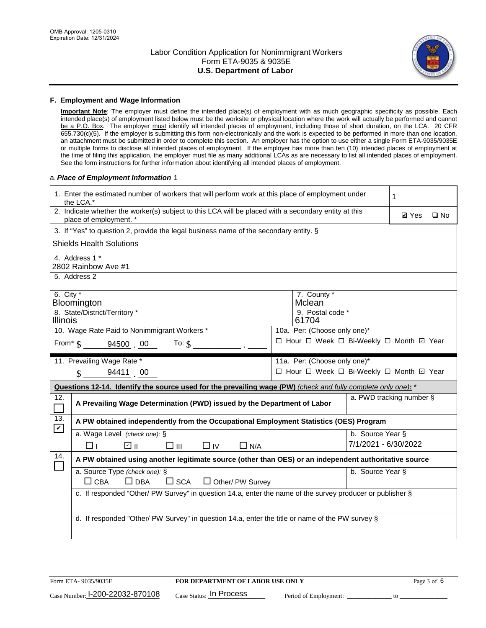

#### **F. Employment and Wage Information**

**Important Note**: The employer must define the intended place(s) of employment with as much geographic specificity as possible. Each intended place(s) of employment listed below must be the worksite or physical location where the work will actually be performed and cannot be a P.O. Box. The employer must identify all intended places of employment, including those of short duration, on the LCA. 20 CFR 655.730(c)(5). If the employer is submitting this form non-electronically and the work is expected to be performed in more than one location, an attachment must be submitted in order to complete this section. An employer has the option to use either a single Form ETA-9035/9035E or multiple forms to disclose all intended places of employment. If the employer has more than ten (10) intended places of employment at the time of filing this application, the employer must file as many additional LCAs as are necessary to list all intended places of employment. See the form instructions for further information about identifying all intended places of employment.

#### a.*Place of Employment Information* 1

|                                                                               | 1. Enter the estimated number of workers that will perform work at this place of employment under<br>the LCA.*                 |  | 1                                        |                          |  |              |  |
|-------------------------------------------------------------------------------|--------------------------------------------------------------------------------------------------------------------------------|--|------------------------------------------|--------------------------|--|--------------|--|
|                                                                               | 2. Indicate whether the worker(s) subject to this LCA will be placed with a secondary entity at this<br>place of employment. * |  |                                          |                          |  | $\square$ No |  |
|                                                                               | 3. If "Yes" to question 2, provide the legal business name of the secondary entity. §                                          |  |                                          |                          |  |              |  |
|                                                                               | <b>Shields Health Solutions</b>                                                                                                |  |                                          |                          |  |              |  |
|                                                                               | 4. Address 1 *<br>2802 Rainbow Ave #1                                                                                          |  |                                          |                          |  |              |  |
|                                                                               | 5. Address 2                                                                                                                   |  |                                          |                          |  |              |  |
|                                                                               | 6. City $*$<br>7. County *<br>Mclean<br>Bloomington                                                                            |  |                                          |                          |  |              |  |
| 8. State/District/Territory *<br>9. Postal code *<br><b>Illinois</b><br>61704 |                                                                                                                                |  |                                          |                          |  |              |  |
| 10. Wage Rate Paid to Nonimmigrant Workers *<br>10a. Per: (Choose only one)*  |                                                                                                                                |  |                                          |                          |  |              |  |
|                                                                               | □ Hour □ Week □ Bi-Weekly □ Month 回 Year<br>From $\text{\$}$ 94500 00<br>To: $$$                                               |  |                                          |                          |  |              |  |
|                                                                               | 11. Prevailing Wage Rate *<br>11a. Per: (Choose only one)*                                                                     |  |                                          |                          |  |              |  |
|                                                                               | 94411 00<br>$\mathcal{S}$                                                                                                      |  | □ Hour □ Week □ Bi-Weekly □ Month ☑ Year |                          |  |              |  |
|                                                                               | Questions 12-14. Identify the source used for the prevailing wage (PW) (check and fully complete only one): *                  |  |                                          |                          |  |              |  |
| 12.<br>$\Box$                                                                 | A Prevailing Wage Determination (PWD) issued by the Department of Labor                                                        |  |                                          | a. PWD tracking number § |  |              |  |
| 13.<br>$\blacktriangledown$                                                   | A PW obtained independently from the Occupational Employment Statistics (OES) Program                                          |  |                                          |                          |  |              |  |
|                                                                               | a. Wage Level (check one): §                                                                                                   |  |                                          | b. Source Year §         |  |              |  |
|                                                                               | ☑ ⊪<br>$\square$ $\square$<br>$\Box$ IV<br>$\Box$ N/A<br>□⊥                                                                    |  |                                          | 7/1/2021 - 6/30/2022     |  |              |  |
| 14.                                                                           | A PW obtained using another legitimate source (other than OES) or an independent authoritative source                          |  |                                          |                          |  |              |  |
|                                                                               | a. Source Type (check one): §<br>b. Source Year §<br>$\Box$ CBA<br>$\Box$ DBA<br>$\Box$ SCA<br>$\Box$ Other/ PW Survey         |  |                                          |                          |  |              |  |
|                                                                               | c. If responded "Other/ PW Survey" in question 14.a, enter the name of the survey producer or publisher §                      |  |                                          |                          |  |              |  |
|                                                                               | d. If responded "Other/ PW Survey" in question 14.a, enter the title or name of the PW survey §                                |  |                                          |                          |  |              |  |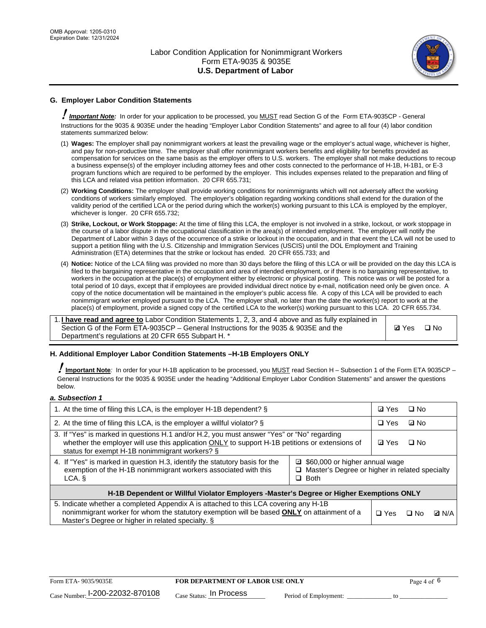

## **G. Employer Labor Condition Statements**

! *Important Note:* In order for your application to be processed, you MUST read Section G of the Form ETA-9035CP - General Instructions for the 9035 & 9035E under the heading "Employer Labor Condition Statements" and agree to all four (4) labor condition statements summarized below:

- (1) **Wages:** The employer shall pay nonimmigrant workers at least the prevailing wage or the employer's actual wage, whichever is higher, and pay for non-productive time. The employer shall offer nonimmigrant workers benefits and eligibility for benefits provided as compensation for services on the same basis as the employer offers to U.S. workers. The employer shall not make deductions to recoup a business expense(s) of the employer including attorney fees and other costs connected to the performance of H-1B, H-1B1, or E-3 program functions which are required to be performed by the employer. This includes expenses related to the preparation and filing of this LCA and related visa petition information. 20 CFR 655.731;
- (2) **Working Conditions:** The employer shall provide working conditions for nonimmigrants which will not adversely affect the working conditions of workers similarly employed. The employer's obligation regarding working conditions shall extend for the duration of the validity period of the certified LCA or the period during which the worker(s) working pursuant to this LCA is employed by the employer, whichever is longer. 20 CFR 655.732;
- (3) **Strike, Lockout, or Work Stoppage:** At the time of filing this LCA, the employer is not involved in a strike, lockout, or work stoppage in the course of a labor dispute in the occupational classification in the area(s) of intended employment. The employer will notify the Department of Labor within 3 days of the occurrence of a strike or lockout in the occupation, and in that event the LCA will not be used to support a petition filing with the U.S. Citizenship and Immigration Services (USCIS) until the DOL Employment and Training Administration (ETA) determines that the strike or lockout has ended. 20 CFR 655.733; and
- (4) **Notice:** Notice of the LCA filing was provided no more than 30 days before the filing of this LCA or will be provided on the day this LCA is filed to the bargaining representative in the occupation and area of intended employment, or if there is no bargaining representative, to workers in the occupation at the place(s) of employment either by electronic or physical posting. This notice was or will be posted for a total period of 10 days, except that if employees are provided individual direct notice by e-mail, notification need only be given once. A copy of the notice documentation will be maintained in the employer's public access file. A copy of this LCA will be provided to each nonimmigrant worker employed pursuant to the LCA. The employer shall, no later than the date the worker(s) report to work at the place(s) of employment, provide a signed copy of the certified LCA to the worker(s) working pursuant to this LCA. 20 CFR 655.734.

1. **I have read and agree to** Labor Condition Statements 1, 2, 3, and 4 above and as fully explained in Section G of the Form ETA-9035CP – General Instructions for the 9035 & 9035E and the Department's regulations at 20 CFR 655 Subpart H. \*

**Ø**Yes ロNo

## **H. Additional Employer Labor Condition Statements –H-1B Employers ONLY**

!**Important Note***:* In order for your H-1B application to be processed, you MUST read Section H – Subsection 1 of the Form ETA 9035CP – General Instructions for the 9035 & 9035E under the heading "Additional Employer Labor Condition Statements" and answer the questions below.

#### *a. Subsection 1*

| 1. At the time of filing this LCA, is the employer H-1B dependent? §                                                                                                                                                                                            |            | ⊡ Yes | $\square$ No |  |  |
|-----------------------------------------------------------------------------------------------------------------------------------------------------------------------------------------------------------------------------------------------------------------|------------|-------|--------------|--|--|
| 2. At the time of filing this LCA, is the employer a willful violator? $\S$                                                                                                                                                                                     |            |       | ⊡ No         |  |  |
| 3. If "Yes" is marked in questions H.1 and/or H.2, you must answer "Yes" or "No" regarding<br>whether the employer will use this application ONLY to support H-1B petitions or extensions of<br>status for exempt H-1B nonimmigrant workers? §                  |            |       | $\Box$ No    |  |  |
| 4. If "Yes" is marked in question H.3, identify the statutory basis for the<br>■ \$60,000 or higher annual wage<br>exemption of the H-1B nonimmigrant workers associated with this<br>□ Master's Degree or higher in related specialty<br>$\Box$ Both<br>LCA. § |            |       |              |  |  |
| H-1B Dependent or Willful Violator Employers -Master's Degree or Higher Exemptions ONLY                                                                                                                                                                         |            |       |              |  |  |
| 5. Indicate whether a completed Appendix A is attached to this LCA covering any H-1B<br>nonimmigrant worker for whom the statutory exemption will be based <b>ONLY</b> on attainment of a<br>Master's Degree or higher in related specialty. §                  | $\Box$ Yes | ⊡ No  | <b>Q</b> N/A |  |  |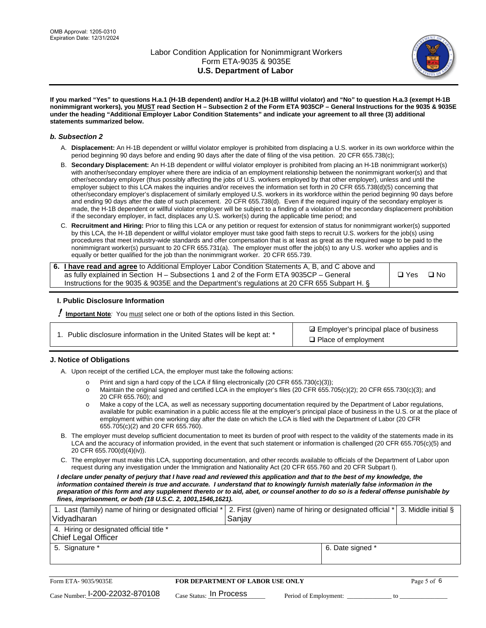

**If you marked "Yes" to questions H.a.1 (H-1B dependent) and/or H.a.2 (H-1B willful violator) and "No" to question H.a.3 (exempt H-1B nonimmigrant workers), you MUST read Section H – Subsection 2 of the Form ETA 9035CP – General Instructions for the 9035 & 9035E under the heading "Additional Employer Labor Condition Statements" and indicate your agreement to all three (3) additional statements summarized below.**

#### *b. Subsection 2*

- A. **Displacement:** An H-1B dependent or willful violator employer is prohibited from displacing a U.S. worker in its own workforce within the period beginning 90 days before and ending 90 days after the date of filing of the visa petition. 20 CFR 655.738(c);
- B. **Secondary Displacement:** An H-1B dependent or willful violator employer is prohibited from placing an H-1B nonimmigrant worker(s) with another/secondary employer where there are indicia of an employment relationship between the nonimmigrant worker(s) and that other/secondary employer (thus possibly affecting the jobs of U.S. workers employed by that other employer), unless and until the employer subject to this LCA makes the inquiries and/or receives the information set forth in 20 CFR 655.738(d)(5) concerning that other/secondary employer's displacement of similarly employed U.S. workers in its workforce within the period beginning 90 days before and ending 90 days after the date of such placement. 20 CFR 655.738(d). Even if the required inquiry of the secondary employer is made, the H-1B dependent or willful violator employer will be subject to a finding of a violation of the secondary displacement prohibition if the secondary employer, in fact, displaces any U.S. worker(s) during the applicable time period; and
- C. **Recruitment and Hiring:** Prior to filing this LCA or any petition or request for extension of status for nonimmigrant worker(s) supported by this LCA, the H-1B dependent or willful violator employer must take good faith steps to recruit U.S. workers for the job(s) using procedures that meet industry-wide standards and offer compensation that is at least as great as the required wage to be paid to the nonimmigrant worker(s) pursuant to 20 CFR 655.731(a). The employer must offer the job(s) to any U.S. worker who applies and is equally or better qualified for the job than the nonimmigrant worker. 20 CFR 655.739.

| 6. I have read and agree to Additional Employer Labor Condition Statements A, B, and C above and |       |           |
|--------------------------------------------------------------------------------------------------|-------|-----------|
| as fully explained in Section H – Subsections 1 and 2 of the Form ETA 9035CP – General           | □ Yes | $\Box$ No |
| Instructions for the 9035 & 9035E and the Department's regulations at 20 CFR 655 Subpart H. §    |       |           |

## **I. Public Disclosure Information**

! **Important Note***:* You must select one or both of the options listed in this Section.

| 1. Public disclosure information in the United States will be kept at: * |  |  |  |  |  |  |  |
|--------------------------------------------------------------------------|--|--|--|--|--|--|--|
|--------------------------------------------------------------------------|--|--|--|--|--|--|--|

**sqrt** Employer's principal place of business □ Place of employment

## **J. Notice of Obligations**

A. Upon receipt of the certified LCA, the employer must take the following actions:

- o Print and sign a hard copy of the LCA if filing electronically (20 CFR 655.730(c)(3));<br>
Maintain the original signed and certified LCA in the employer's files (20 CFR 655.7
- Maintain the original signed and certified LCA in the employer's files (20 CFR 655.705(c)(2); 20 CFR 655.730(c)(3); and 20 CFR 655.760); and
- o Make a copy of the LCA, as well as necessary supporting documentation required by the Department of Labor regulations, available for public examination in a public access file at the employer's principal place of business in the U.S. or at the place of employment within one working day after the date on which the LCA is filed with the Department of Labor (20 CFR 655.705(c)(2) and 20 CFR 655.760).
- B. The employer must develop sufficient documentation to meet its burden of proof with respect to the validity of the statements made in its LCA and the accuracy of information provided, in the event that such statement or information is challenged (20 CFR 655.705(c)(5) and 20 CFR 655.700(d)(4)(iv)).
- C. The employer must make this LCA, supporting documentation, and other records available to officials of the Department of Labor upon request during any investigation under the Immigration and Nationality Act (20 CFR 655.760 and 20 CFR Subpart I).

*I declare under penalty of perjury that I have read and reviewed this application and that to the best of my knowledge, the*  information contained therein is true and accurate. I understand that to knowingly furnish materially false information in the *preparation of this form and any supplement thereto or to aid, abet, or counsel another to do so is a federal offense punishable by fines, imprisonment, or both (18 U.S.C. 2, 1001,1546,1621).*

| 1. Last (family) name of hiring or designated official *   2. First (given) name of hiring or designated official *   3. Middle initial §<br>Vidyadharan | Saniav           |  |
|----------------------------------------------------------------------------------------------------------------------------------------------------------|------------------|--|
| 4. Hiring or designated official title *<br>Chief Legal Officer                                                                                          |                  |  |
| 5. Signature *                                                                                                                                           | 6. Date signed * |  |

| Form ETA-9035/9035E                         | <b>FOR DEPARTMENT OF LABOR USE ONLY</b> | Page 5 of 6           |  |
|---------------------------------------------|-----------------------------------------|-----------------------|--|
| $_{\text{Case Number:}}$ I-200-22032-870108 | $_{\rm Case~S status:}$ In Process      | Period of Employment: |  |